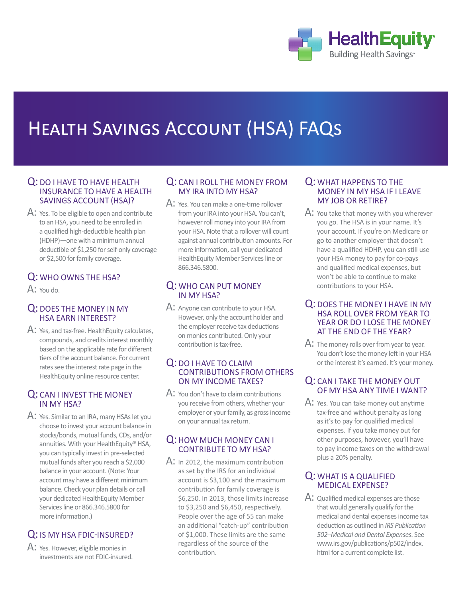

# Health Savings Account (HSA) FAQs

## Q: DO I HAVE TO HAVE HEALTH insurance to have a health savings account (HSA)?

A: Yes. To be eligible to open and contribute to an HSA, you need to be enrolled in a qualified high-deductible health plan (HDHP)—one with a minimum annual deductible of \$1,250 for self-only coverage or \$2,500 for family coverage.

# Q: Who owns the HSA?

 $A$ : You do.

# Q: Does the money in my HSA earn interest?

A: Yes, and tax-free. HealthEquity calculates, compounds, and credits interest monthly based on the applicable rate for different tiers of the account balance. For current rates see the interest rate page in the HealthEquity online resource center.

# Q: Can I invest the money in my HSA?

A: Yes. Similar to an IRA, many HSAs let you choose to invest your account balance in stocks/bonds, mutual funds, CDs, and/or annuities. With your HealthEquity® HSA, you can typically invest in pre-selected mutual funds after you reach a \$2,000 balance in your account. (Note: Your account may have a different minimum balance. Check your plan details or call your dedicated HealthEquity Member Services line or 866.346.5800 for more information.)

# Q: IS MY HSA FDIC-INSURED?

A: Yes. However, eligible monies in investments are not FDIC-insured.

## Q: CAN I ROLL THE MONEY FROM my IRA into my HSA?

A: Yes. You can make a one-time rollover from your IRA into your HSA. You can't, however roll money into your IRA from your HSA. Note that a rollover will count against annual contribution amounts. For more information, call your dedicated HealthEquity Member Services line or 866.346.5800.

# Q: Who can put money in my HSA?

 $\mathsf{A}\colon$  Anyone can contribute to your HSA. However, only the account holder and the employer receive tax deductions on monies contributed. Only your contribution is tax-free.

#### Q: DO I HAVE TO CLAIM contributions from others on my income taxes?

 $\mathsf{A}$ : You don't have to claim contributions you receive from others, whether your employer or your family, as gross income on your annual tax return.

# Q: How much money can I contribute to my HSA?

 $\mathsf{A}$ : In 2012, the maximum contribution as set by the IRS for an individual account is \$3,100 and the maximum contribution for family coverage is \$6,250. In 2013, those limits increase to \$3,250 and \$6,450, respectively. People over the age of 55 can make an additional "catch-up" contribution of \$1,000. These limits are the same regardless of the source of the contribution.

## Q: WHAT HAPPENS TO THE money in my HSA if I leave my job or retire?

A: You take that money with you wherever you go. The HSA is in your name. It's your account. If you're on Medicare or go to another employer that doesn't have a qualified HDHP, you can still use your HSA money to pay for co-pays and qualified medical expenses, but won't be able to continue to make contributions to your HSA.

## Q: Does the money I have in my HSA roll over from year to YEAR OR DO I LOSE THE MONEY at the end of the year?

A: The money rolls over from year to year. You don't lose the money left in your HSA or the interest it's earned. It's your money.

# Q: CAN I TAKE THE MONEY OUT of my HSA any time I want?

A: Yes. You can take money out anytime tax-free and without penalty as long as it's to pay for qualified medical expenses. If you take money out for other purposes, however, you'll have to pay income taxes on the withdrawal plus a 20% penalty.

# Q: WHAT IS A QUALIFIED medical expense?

A: Qualified medical expenses are those that would generally qualify for the medical and dental expenses income tax deduction as outlined in *IRS Publication 502─Medical and Dental Expenses*. See www.irs.gov/publications/p502/index. html for a current complete list.